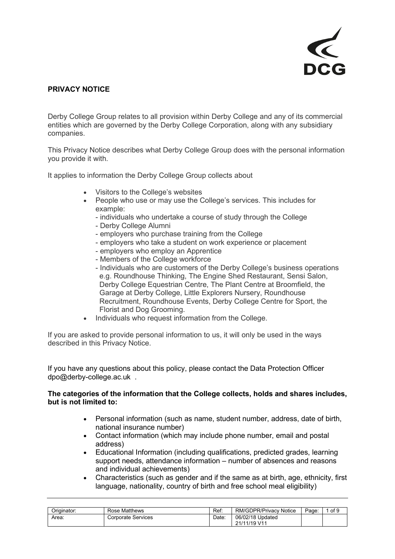

## **PRIVACY NOTICE**

Derby College Group relates to all provision within Derby College and any of its commercial entities which are governed by the Derby College Corporation, along with any subsidiary companies.

This Privacy Notice describes what Derby College Group does with the personal information you provide it with.

It applies to information the Derby College Group collects about

- Visitors to the College's websites
- People who use or may use the College's services. This includes for example:
	- individuals who undertake a course of study through the College
	- Derby College Alumni
	- employers who purchase training from the College
	- employers who take a student on work experience or placement
	- employers who employ an Apprentice
	- Members of the College workforce
	- Individuals who are customers of the Derby College's business operations e.g. Roundhouse Thinking, The Engine Shed Restaurant, Sensi Salon, Derby College Equestrian Centre, The Plant Centre at Broomfield, the Garage at Derby College, Little Explorers Nursery, Roundhouse Recruitment, Roundhouse Events, Derby College Centre for Sport, the Florist and Dog Grooming.
- Individuals who request information from the College.

If you are asked to provide personal information to us, it will only be used in the ways described in this Privacy Notice.

If you have any questions about this policy, please contact the Data Protection Officer [dpo@derby-college.ac.uk](mailto:dpo@derby-college.ac.uk) .

#### **The categories of the information that the College collects, holds and shares includes, but is not limited to:**

- Personal information (such as name, student number, address, date of birth, national insurance number)
- Contact information (which may include phone number, email and postal address)
- Educational Information (including qualifications, predicted grades, learning support needs, attendance information – number of absences and reasons and individual achievements)
- Characteristics (such as gender and if the same as at birth, age, ethnicity, first language, nationality, country of birth and free school meal eligibility)

| Originator: | Rose Matthews      | Ref:  | RM/GDPR/Privacy<br><b>Notice</b> | Page: | of 9 |
|-------------|--------------------|-------|----------------------------------|-------|------|
| Area:       | Corporate Services | Date: | 06/02/18 Updated<br>21/11/19 V11 |       |      |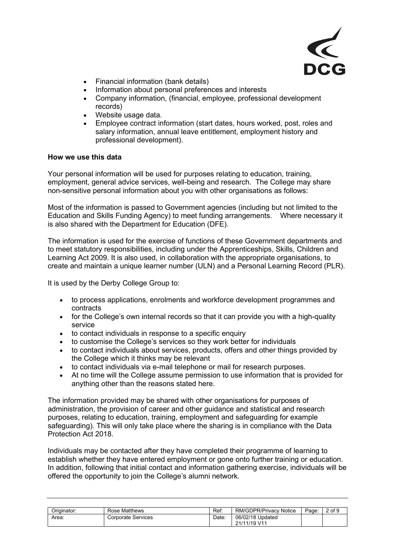

- Financial information (bank details)
- Information about personal preferences and interests
- Company information, (financial, employee, professional development records)
- Website usage data.
- Employee contract information (start dates, hours worked, post, roles and salary information, annual leave entitlement, employment history and professional development).

## **How we use this data**

Your personal information will be used for purposes relating to education, training, employment, general advice services, well-being and research. The College may share non-sensitive personal information about you with other organisations as follows:

Most of the information is passed to Government agencies (including but not limited to the Education and Skills Funding Agency) to meet funding arrangements. Where necessary it is also shared with the Department for Education (DFE).

The information is used for the exercise of functions of these Government departments and to meet statutory responsibilities, including under the Apprenticeships, Skills, Children and Learning Act 2009. It is also used, in collaboration with the appropriate organisations, to create and maintain a unique learner number (ULN) and a Personal Learning Record (PLR).

It is used by the Derby College Group to:

- to process applications, enrolments and workforce development programmes and contracts
- for the College's own internal records so that it can provide you with a high-quality service
- to contact individuals in response to a specific enquiry
- to customise the College's services so they work better for individuals
- to contact individuals about services, products, offers and other things provided by the College which it thinks may be relevant
- to contact individuals via e-mail telephone or mail for research purposes.
- At no time will the College assume permission to use information that is provided for anything other than the reasons stated here.

The information provided may be shared with other organisations for purposes of administration, the provision of career and other guidance and statistical and research purposes, relating to education, training, employment and safeguarding for example safeguarding). This will only take place where the sharing is in compliance with the Data Protection Act 2018.

Individuals may be contacted after they have completed their programme of learning to establish whether they have entered employment or gone onto further training or education. In addition, following that initial contact and information gathering exercise, individuals will be offered the opportunity to join the College's alumni network.

| Originator: | <b>Rose Matthews</b>      | Ref: | <b>RM/GDPR/Privacy Notice</b>    | Page: | 2 of 9 |
|-------------|---------------------------|------|----------------------------------|-------|--------|
| Area:       | <b>Corporate Services</b> | Date | 06/02/18 Updated<br>21/11/19 V11 |       |        |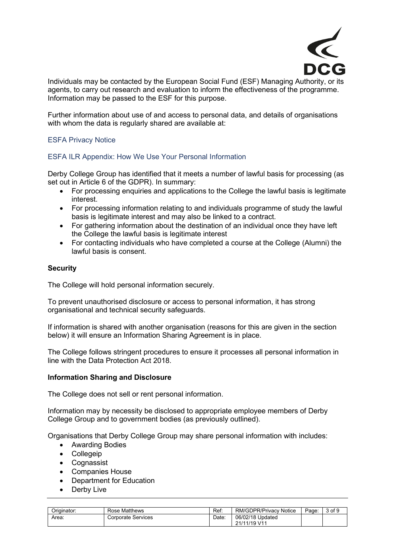

Individuals may be contacted by the European Social Fund (ESF) Managing Authority, or its agents, to carry out research and evaluation to inform the effectiveness of the programme. Information may be passed to the ESF for this purpose.

Further information about use of and access to personal data, and details of organisations with whom the data is regularly shared are available at:

## [ESFA Privacy Notice](https://www.gov.uk/government/publications/esfa-privacy-notice?utm_source=96b03454-f26d-4ab0-934d-0a9c4b258828&utm_medium=email&utm_campaign=govuk-notifications&utm_content=immediate)

#### [ESFA ILR Appendix: How We Use Your Personal Information](https://assets.publishing.service.gov.uk/government/uploads/system/uploads/attachment_data/file/683618/Appendix_F_ILR_2018_to_2019.pdf)

Derby College Group has identified that it meets a number of lawful basis for processing (as set out in Article 6 of the GDPR). In summary:

- For processing enquiries and applications to the College the lawful basis is legitimate interest.
- For processing information relating to and individuals programme of study the lawful basis is legitimate interest and may also be linked to a contract.
- For gathering information about the destination of an individual once they have left the College the lawful basis is legitimate interest
- For contacting individuals who have completed a course at the College (Alumni) the lawful basis is consent.

#### **Security**

The College will hold personal information securely.

To prevent unauthorised disclosure or access to personal information, it has strong organisational and technical security safeguards.

If information is shared with another organisation (reasons for this are given in the section below) it will ensure an Information Sharing Agreement is in place.

The College follows stringent procedures to ensure it processes all personal information in line with the Data Protection Act 2018.

#### **Information Sharing and Disclosure**

The College does not sell or rent personal information.

Information may by necessity be disclosed to appropriate employee members of Derby College Group and to government bodies (as previously outlined).

Organisations that Derby College Group may share personal information with includes:

- Awarding Bodies
- Collegeip
- Cognassist
- Companies House
- Department for Education
- Derby Live

| Originator: | <b>Rose Matthews</b>      | Ref:  | <b>RM/GDPR/Privacy Notice</b>    | $P$ age: | 3 of 9 |
|-------------|---------------------------|-------|----------------------------------|----------|--------|
| Area:       | <b>Corporate Services</b> | Date. | 06/02/18 Updated<br>21/11/19 V11 |          |        |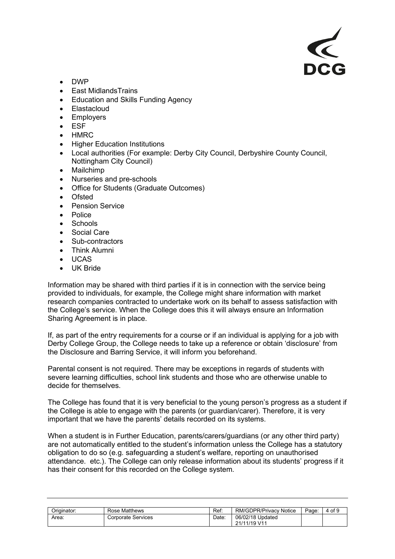

- DWP
- East MidlandsTrains
- Education and Skills Funding Agency
- Elastacloud
- Employers
- **ESF**
- HMRC
- Higher Education Institutions
- Local authorities (For example: Derby City Council, Derbyshire County Council, Nottingham City Council)
- Mailchimp
- Nurseries and pre-schools
- Office for Students (Graduate Outcomes)
- **Ofsted**
- Pension Service
- Police
- Schools
- Social Care
- Sub-contractors
- Think Alumni
- UCAS
- UK Bride

Information may be shared with third parties if it is in connection with the service being provided to individuals, for example, the College might share information with market research companies contracted to undertake work on its behalf to assess satisfaction with the College's service. When the College does this it will always ensure an Information Sharing Agreement is in place.

If, as part of the entry requirements for a course or if an individual is applying for a job with Derby College Group, the College needs to take up a reference or obtain 'disclosure' from the Disclosure and Barring Service, it will inform you beforehand.

Parental consent is not required. There may be exceptions in regards of students with severe learning difficulties, school link students and those who are otherwise unable to decide for themselves.

The College has found that it is very beneficial to the young person's progress as a student if the College is able to engage with the parents (or guardian/carer). Therefore, it is very important that we have the parents' details recorded on its systems.

When a student is in Further Education, parents/carers/guardians (or any other third party) are not automatically entitled to the student's information unless the College has a statutory obligation to do so (e.g. safeguarding a student's welfare, reporting on unauthorised attendance. etc.). The College can only release information about its students' progress if it has their consent for this recorded on the College system.

| Originator: | <b>Rose Matthews</b>      | Ref: | <b>RM/GDPR/Privacy Notice</b>    | Page: | 4 of 9 |
|-------------|---------------------------|------|----------------------------------|-------|--------|
| Area        | <b>Corporate Services</b> | Date | 06/02/18 Updated<br>21/11/19 V11 |       |        |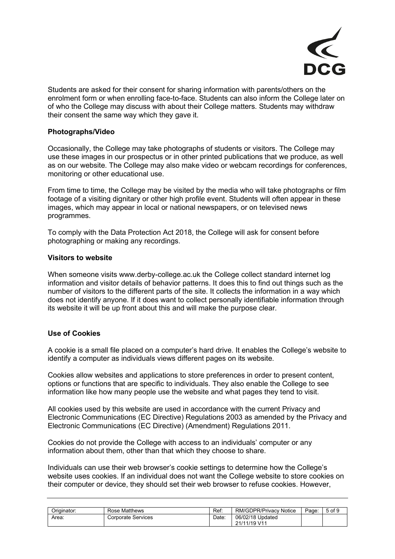

Students are asked for their consent for sharing information with parents/others on the enrolment form or when enrolling face-to-face. Students can also inform the College later on of who the College may discuss with about their College matters. Students may withdraw their consent the same way which they gave it.

## **Photographs/Video**

Occasionally, the College may take photographs of students or visitors. The College may use these images in our prospectus or in other printed publications that we produce, as well as on our website. The College may also make video or webcam recordings for conferences, monitoring or other educational use.

From time to time, the College may be visited by the media who will take photographs or film footage of a visiting dignitary or other high profile event. Students will often appear in these images, which may appear in local or national newspapers, or on televised news programmes.

To comply with the Data Protection Act 2018, the College will ask for consent before photographing or making any recordings.

## **Visitors to website**

When someone visits www.derby-college.ac.uk the College collect standard internet log information and visitor details of behavior patterns. It does this to find out things such as the number of visitors to the different parts of the site. It collects the information in a way which does not identify anyone. If it does want to collect personally identifiable information through its website it will be up front about this and will make the purpose clear.

## **Use of Cookies**

A cookie is a small file placed on a computer's hard drive. It enables the College's website to identify a computer as individuals views different pages on its website.

Cookies allow websites and applications to store preferences in order to present content, options or functions that are specific to individuals. They also enable the College to see information like how many people use the website and what pages they tend to visit.

All cookies used by this website are used in accordance with the current Privacy and Electronic Communications (EC Directive) Regulations 2003 as amended by the Privacy and Electronic Communications (EC Directive) (Amendment) Regulations 2011.

Cookies do not provide the College with access to an individuals' computer or any information about them, other than that which they choose to share.

Individuals can use their web browser's cookie settings to determine how the College's website uses cookies. If an individual does not want the College website to store cookies on their computer or device, they should set their web browser to refuse cookies. However,

| Originator: | Rose Matthews      | Ref:  | RM/GDPR/Privacy<br>Notice        | Page: | 5 of 9 |
|-------------|--------------------|-------|----------------------------------|-------|--------|
| Area:       | Corporate Services | Date: | 06/02/18 Updated<br>21/11/19 V11 |       |        |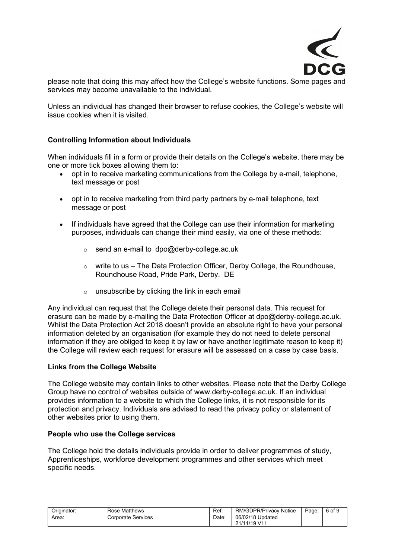

please note that doing this may affect how the College's website functions. Some pages and services may become unavailable to the individual.

Unless an individual has changed their browser to refuse cookies, the College's website will issue cookies when it is visited.

## **Controlling Information about Individuals**

When individuals fill in a form or provide their details on the College's website, there may be one or more tick boxes allowing them to:

- opt in to receive marketing communications from the College by e-mail, telephone, text message or post
- opt in to receive marketing from third party partners by e-mail telephone, text message or post
- If individuals have agreed that the College can use their information for marketing purposes, individuals can change their mind easily, via one of these methods:
	- $\circ$  send an e-mail to [dpo@derby-college.ac.uk](mailto:dpo@derby-college.ac.uk)
	- $\circ$  write to us The Data Protection Officer, Derby College, the Roundhouse, Roundhouse Road, Pride Park, Derby. DE
	- o unsubscribe by clicking the link in each email

Any individual can request that the College delete their personal data. This request for erasure can be made by e-mailing the Data Protection Officer at [dpo@derby-college.ac.uk.](mailto:dpo@derby-college.ac.uk) Whilst the Data Protection Act 2018 doesn't provide an absolute right to have your personal information deleted by an organisation (for example they do not need to delete personal information if they are obliged to keep it by law or have another legitimate reason to keep it) the College will review each request for erasure will be assessed on a case by case basis.

#### **Links from the College Website**

The College website may contain links to other websites. Please note that the Derby College Group have no control of websites outside of www.derby-college.ac.uk. If an individual provides information to a website to which the College links, it is not responsible for its protection and privacy. Individuals are advised to read the privacy policy or statement of other websites prior to using them.

#### **People who use the College services**

The College hold the details individuals provide in order to deliver programmes of study, Apprenticeships, workforce development programmes and other services which meet specific needs.

| Originator: | Rose Matthews      | Ref: | <b>RM/GDPR/Privacy Notice</b>    | Page: | 6 of 9 |
|-------------|--------------------|------|----------------------------------|-------|--------|
| Area:       | Corporate Services | Date | 06/02/18 Updated<br>21/11/19 V11 |       |        |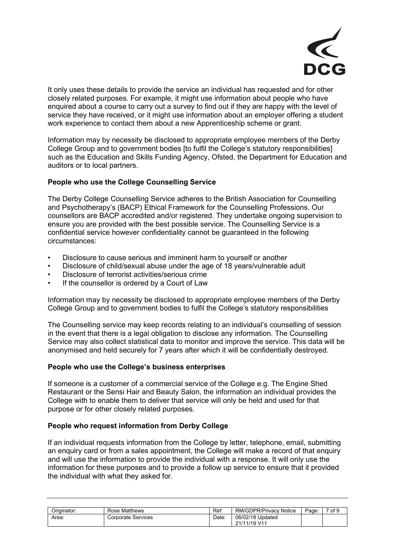

It only uses these details to provide the service an individual has requested and for other closely related purposes. For example, it might use information about people who have enquired about a course to carry out a survey to find out if they are happy with the level of service they have received, or it might use information about an employer offering a student work experience to contact them about a new Apprenticeship scheme or grant.

Information may by necessity be disclosed to appropriate employee members of the Derby College Group and to government bodies [to fulfil the College's statutory responsibilities] such as the Education and Skills Funding Agency, Ofsted, the Department for Education and auditors or to local partners.

## **People who use the College Counselling Service**

The Derby College Counselling Service adheres to the British Association for Counselling and Psychotherapy's (BACP) Ethical Framework for the Counselling Professions. Our counsellors are BACP accredited and/or registered. They undertake ongoing supervision to ensure you are provided with the best possible service. The Counselling Service is a confidential service however confidentiality cannot be guaranteed in the following circumstances:

- Disclosure to cause serious and imminent harm to yourself or another
- Disclosure of child/sexual abuse under the age of 18 years/vulnerable adult
- Disclosure of terrorist activities/serious crime
- If the counsellor is ordered by a Court of Law

Information may by necessity be disclosed to appropriate employee members of the Derby College Group and to government bodies to fulfil the College's statutory responsibilities

The Counselling service may keep records relating to an individual's counselling of session in the event that there is a legal obligation to disclose any information. The Counselling Service may also collect statistical data to monitor and improve the service. This data will be anonymised and held securely for 7 years after which it will be confidentially destroyed.

#### **People who use the College's business enterprises**

If someone is a customer of a commercial service of the College e.g. The Engine Shed Restaurant or the Sensi Hair and Beauty Salon, the information an individual provides the College with to enable them to deliver that service will only be held and used for that purpose or for other closely related purposes.

## **People who request information from Derby College**

If an individual requests information from the College by letter, telephone, email, submitting an enquiry card or from a sales appointment, the College will make a record of that enquiry and will use the information to provide the individual with a response. It will only use the information for these purposes and to provide a follow up service to ensure that it provided the individual with what they asked for.

| Originator: | Rose Matthews      | Ref:  | <b>RM/GDPR/Privacy Notice</b>    | Page: | of 9 |
|-------------|--------------------|-------|----------------------------------|-------|------|
| Area:       | Corporate Services | Date. | 06/02/18 Updated<br>21/11/19 V11 |       |      |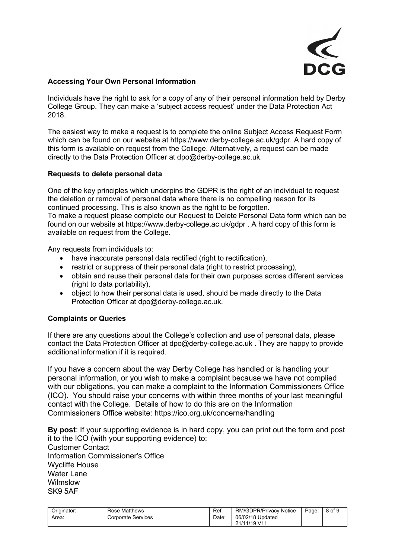

## **Accessing Your Own Personal Information**

Individuals have the right to ask for a copy of any of their personal information held by Derby College Group. They can make a 'subject access request' under the Data Protection Act 2018.

The easiest way to make a request is to complete the online Subject Access Request Form which can be found on our website at https://www.derby-college.ac.uk/gdpr. A hard copy of this form is available on request from the College. Alternatively, a request can be made directly to the Data Protection Officer at dpo@derby-college.ac.uk.

## **Requests to delete personal data**

One of the key principles which underpins the GDPR is the right of an individual to request the deletion or removal of personal data where there is no compelling reason for its continued processing. This is also known as the right to be forgotten. To make a request please complete our Request to Delete Personal Data form which can be found on our website at<https://www.derby-college.ac.uk/gdpr> . A hard copy of this form is available on request from the College.

Any requests from individuals to:

- have inaccurate personal data rectified (right to rectification),
- restrict or suppress of their personal data (right to restrict processing),
- obtain and reuse their personal data for their own purposes across different services (right to data portability),
- object to how their personal data is used, should be made directly to the Data Protection Officer at dpo@derby-college.ac.uk.

## **Complaints or Queries**

If there are any questions about the College's collection and use of personal data, please contact the Data Protection Officer at [dpo@derby-college.ac.uk](mailto:dpo@derby-college.ac.uk) . They are happy to provide additional information if it is required.

If you have a concern about the way Derby College has handled or is handling your personal information, or you wish to make a complaint because we have not complied with our obligations, you can make a complaint to the Information Commissioners Office (ICO). You should raise your concerns with within three months of your last meaningful contact with the College. Details of how to do this are on the Information Commissioners Office website: [https://ico.org.uk/concerns/handling](https://ico.org.uk/concerns/handling/y/y/y)

**By post**: If your supporting evidence is in hard copy, you can print out the form and post it to the ICO (with your supporting evidence) to: Customer Contact Information Commissioner's Office Wycliffe House Water Lane Wilmslow SK9 5AF

| Originator: | Rose Matthews      | Ref: | RM/GDPR/Privacy<br><b>Notice</b> | Page: | of 9<br>$\Omega$<br>ີ |
|-------------|--------------------|------|----------------------------------|-------|-----------------------|
| Area:       | Corporate Services | Date | 06/02/18 Updated<br>21/11/19 V11 |       |                       |